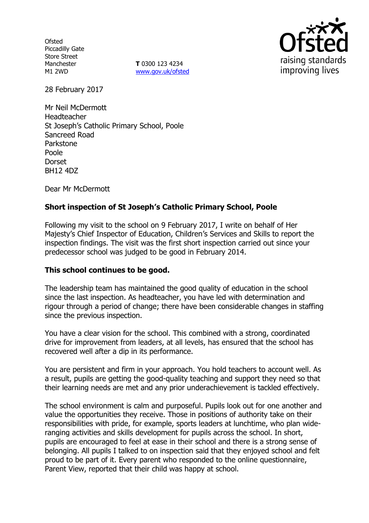**Ofsted** Piccadilly Gate Store Street Manchester M1 2WD

**T** 0300 123 4234 www.gov.uk/ofsted



28 February 2017

Mr Neil McDermott Headteacher St Joseph's Catholic Primary School, Poole Sancreed Road Parkstone Poole Dorset BH12 4DZ

Dear Mr McDermott

# **Short inspection of St Joseph's Catholic Primary School, Poole**

Following my visit to the school on 9 February 2017, I write on behalf of Her Majesty's Chief Inspector of Education, Children's Services and Skills to report the inspection findings. The visit was the first short inspection carried out since your predecessor school was judged to be good in February 2014.

#### **This school continues to be good.**

The leadership team has maintained the good quality of education in the school since the last inspection. As headteacher, you have led with determination and rigour through a period of change; there have been considerable changes in staffing since the previous inspection.

You have a clear vision for the school. This combined with a strong, coordinated drive for improvement from leaders, at all levels, has ensured that the school has recovered well after a dip in its performance.

You are persistent and firm in your approach. You hold teachers to account well. As a result, pupils are getting the good-quality teaching and support they need so that their learning needs are met and any prior underachievement is tackled effectively.

The school environment is calm and purposeful. Pupils look out for one another and value the opportunities they receive. Those in positions of authority take on their responsibilities with pride, for example, sports leaders at lunchtime, who plan wideranging activities and skills development for pupils across the school. In short, pupils are encouraged to feel at ease in their school and there is a strong sense of belonging. All pupils I talked to on inspection said that they enjoyed school and felt proud to be part of it. Every parent who responded to the online questionnaire, Parent View, reported that their child was happy at school.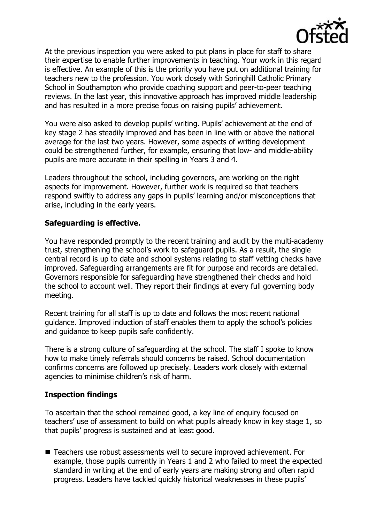

At the previous inspection you were asked to put plans in place for staff to share their expertise to enable further improvements in teaching. Your work in this regard is effective. An example of this is the priority you have put on additional training for teachers new to the profession. You work closely with Springhill Catholic Primary School in Southampton who provide coaching support and peer-to-peer teaching reviews. In the last year, this innovative approach has improved middle leadership and has resulted in a more precise focus on raising pupils' achievement.

You were also asked to develop pupils' writing. Pupils' achievement at the end of key stage 2 has steadily improved and has been in line with or above the national average for the last two years. However, some aspects of writing development could be strengthened further, for example, ensuring that low- and middle-ability pupils are more accurate in their spelling in Years 3 and 4.

Leaders throughout the school, including governors, are working on the right aspects for improvement. However, further work is required so that teachers respond swiftly to address any gaps in pupils' learning and/or misconceptions that arise, including in the early years.

### **Safeguarding is effective.**

You have responded promptly to the recent training and audit by the multi-academy trust, strengthening the school's work to safeguard pupils. As a result, the single central record is up to date and school systems relating to staff vetting checks have improved. Safeguarding arrangements are fit for purpose and records are detailed. Governors responsible for safeguarding have strengthened their checks and hold the school to account well. They report their findings at every full governing body meeting.

Recent training for all staff is up to date and follows the most recent national guidance. Improved induction of staff enables them to apply the school's policies and guidance to keep pupils safe confidently.

There is a strong culture of safeguarding at the school. The staff I spoke to know how to make timely referrals should concerns be raised. School documentation confirms concerns are followed up precisely. Leaders work closely with external agencies to minimise children's risk of harm.

#### **Inspection findings**

To ascertain that the school remained good, a key line of enquiry focused on teachers' use of assessment to build on what pupils already know in key stage 1, so that pupils' progress is sustained and at least good.

■ Teachers use robust assessments well to secure improved achievement. For example, those pupils currently in Years 1 and 2 who failed to meet the expected standard in writing at the end of early years are making strong and often rapid progress. Leaders have tackled quickly historical weaknesses in these pupils'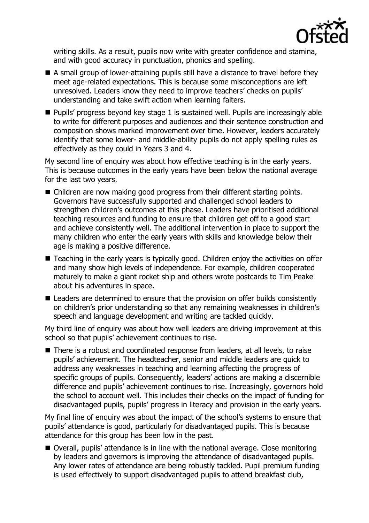

writing skills. As a result, pupils now write with greater confidence and stamina, and with good accuracy in punctuation, phonics and spelling.

- A small group of lower-attaining pupils still have a distance to travel before they meet age-related expectations. This is because some misconceptions are left unresolved. Leaders know they need to improve teachers' checks on pupils' understanding and take swift action when learning falters.
- **Pupils' progress beyond key stage 1 is sustained well. Pupils are increasingly able** to write for different purposes and audiences and their sentence construction and composition shows marked improvement over time. However, leaders accurately identify that some lower- and middle-ability pupils do not apply spelling rules as effectively as they could in Years 3 and 4.

My second line of enquiry was about how effective teaching is in the early years. This is because outcomes in the early years have been below the national average for the last two years.

- Children are now making good progress from their different starting points. Governors have successfully supported and challenged school leaders to strengthen children's outcomes at this phase. Leaders have prioritised additional teaching resources and funding to ensure that children get off to a good start and achieve consistently well. The additional intervention in place to support the many children who enter the early years with skills and knowledge below their age is making a positive difference.
- Teaching in the early years is typically good. Children enjoy the activities on offer and many show high levels of independence. For example, children cooperated maturely to make a giant rocket ship and others wrote postcards to Tim Peake about his adventures in space.
- Leaders are determined to ensure that the provision on offer builds consistently on children's prior understanding so that any remaining weaknesses in children's speech and language development and writing are tackled quickly.

My third line of enquiry was about how well leaders are driving improvement at this school so that pupils' achievement continues to rise.

■ There is a robust and coordinated response from leaders, at all levels, to raise pupils' achievement. The headteacher, senior and middle leaders are quick to address any weaknesses in teaching and learning affecting the progress of specific groups of pupils. Consequently, leaders' actions are making a discernible difference and pupils' achievement continues to rise. Increasingly, governors hold the school to account well. This includes their checks on the impact of funding for disadvantaged pupils, pupils' progress in literacy and provision in the early years.

My final line of enquiry was about the impact of the school's systems to ensure that pupils' attendance is good, particularly for disadvantaged pupils. This is because attendance for this group has been low in the past.

 Overall, pupils' attendance is in line with the national average. Close monitoring by leaders and governors is improving the attendance of disadvantaged pupils. Any lower rates of attendance are being robustly tackled. Pupil premium funding is used effectively to support disadvantaged pupils to attend breakfast club,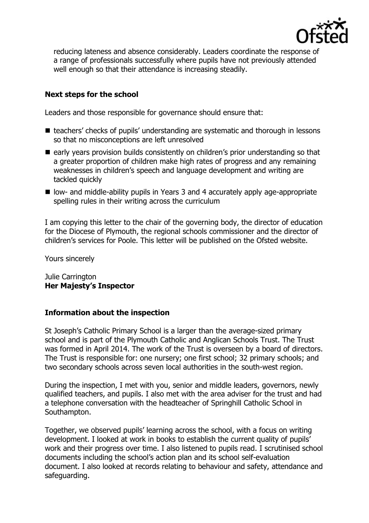

reducing lateness and absence considerably. Leaders coordinate the response of a range of professionals successfully where pupils have not previously attended well enough so that their attendance is increasing steadily.

## **Next steps for the school**

Leaders and those responsible for governance should ensure that:

- teachers' checks of pupils' understanding are systematic and thorough in lessons so that no misconceptions are left unresolved
- early years provision builds consistently on children's prior understanding so that a greater proportion of children make high rates of progress and any remaining weaknesses in children's speech and language development and writing are tackled quickly
- low- and middle-ability pupils in Years 3 and 4 accurately apply age-appropriate spelling rules in their writing across the curriculum

I am copying this letter to the chair of the governing body, the director of education for the Diocese of Plymouth, the regional schools commissioner and the director of children's services for Poole. This letter will be published on the Ofsted website.

Yours sincerely

Julie Carrington **Her Majesty's Inspector**

#### **Information about the inspection**

St Joseph's Catholic Primary School is a larger than the average-sized primary school and is part of the Plymouth Catholic and Anglican Schools Trust. The Trust was formed in April 2014. The work of the Trust is overseen by a board of directors. The Trust is responsible for: one nursery; one first school; 32 primary schools; and two secondary schools across seven local authorities in the south-west region.

During the inspection, I met with you, senior and middle leaders, governors, newly qualified teachers, and pupils. I also met with the area adviser for the trust and had a telephone conversation with the headteacher of Springhill Catholic School in Southampton.

Together, we observed pupils' learning across the school, with a focus on writing development. I looked at work in books to establish the current quality of pupils' work and their progress over time. I also listened to pupils read. I scrutinised school documents including the school's action plan and its school self-evaluation document. I also looked at records relating to behaviour and safety, attendance and safeguarding.